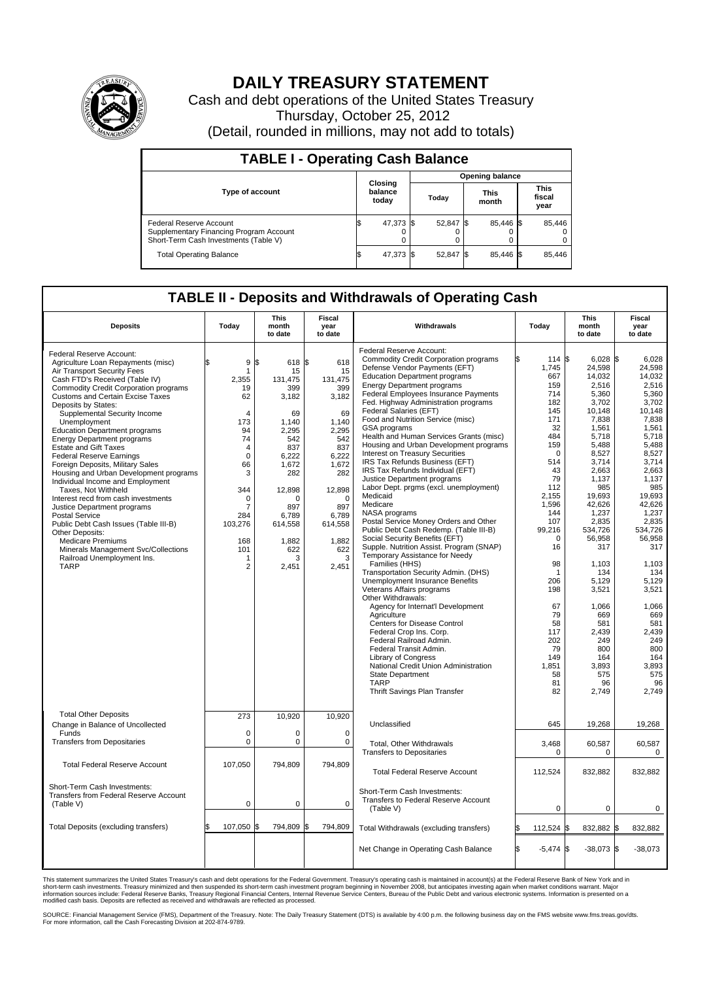

## **DAILY TREASURY STATEMENT**

Cash and debt operations of the United States Treasury Thursday, October 25, 2012 (Detail, rounded in millions, may not add to totals)

| <b>TABLE I - Operating Cash Balance</b>                                                                     |                             |           |                        |                               |  |                               |  |        |  |
|-------------------------------------------------------------------------------------------------------------|-----------------------------|-----------|------------------------|-------------------------------|--|-------------------------------|--|--------|--|
|                                                                                                             | Closing<br>balance<br>today |           | <b>Opening balance</b> |                               |  |                               |  |        |  |
| <b>Type of account</b>                                                                                      |                             |           |                        | <b>This</b><br>Today<br>month |  | <b>This</b><br>fiscal<br>year |  |        |  |
| Federal Reserve Account<br>Supplementary Financing Program Account<br>Short-Term Cash Investments (Table V) | IФ                          | 47,373 \$ |                        | 52,847 \$                     |  | 85,446 \$<br>0                |  | 85,446 |  |
| <b>Total Operating Balance</b>                                                                              | IΦ                          | 47,373    |                        | 52,847 \$                     |  | 85.446 \$                     |  | 85,446 |  |

## **TABLE II - Deposits and Withdrawals of Operating Cash**

| <b>Deposits</b>                                                                                                                                                                                                                                                                                                                                                                                                                                                                                                                                                                                                                                                                                                                                                                                                                                                       | Today                                                                                                                                                                                 | <b>This</b><br>month<br>to date                                                                                                                                                              | Fiscal<br>year<br>to date                                                                                                                                                          | Withdrawals                                                                                                                                                                                                                                                                                                                                                                                                                                                                                                                                                                                                                                                                                                                                                                                                                                                                                                                                                                                                                                                                                                                                                                                                                                                                                                                                        | Today                                                                                                                                                                                                                                                                               | <b>This</b><br>month<br>to date                                                                                                                                                                                                                                                                                                            | <b>Fiscal</b><br>year<br>to date                                                                                                                                                                                                                                                                                                      |  |  |
|-----------------------------------------------------------------------------------------------------------------------------------------------------------------------------------------------------------------------------------------------------------------------------------------------------------------------------------------------------------------------------------------------------------------------------------------------------------------------------------------------------------------------------------------------------------------------------------------------------------------------------------------------------------------------------------------------------------------------------------------------------------------------------------------------------------------------------------------------------------------------|---------------------------------------------------------------------------------------------------------------------------------------------------------------------------------------|----------------------------------------------------------------------------------------------------------------------------------------------------------------------------------------------|------------------------------------------------------------------------------------------------------------------------------------------------------------------------------------|----------------------------------------------------------------------------------------------------------------------------------------------------------------------------------------------------------------------------------------------------------------------------------------------------------------------------------------------------------------------------------------------------------------------------------------------------------------------------------------------------------------------------------------------------------------------------------------------------------------------------------------------------------------------------------------------------------------------------------------------------------------------------------------------------------------------------------------------------------------------------------------------------------------------------------------------------------------------------------------------------------------------------------------------------------------------------------------------------------------------------------------------------------------------------------------------------------------------------------------------------------------------------------------------------------------------------------------------------|-------------------------------------------------------------------------------------------------------------------------------------------------------------------------------------------------------------------------------------------------------------------------------------|--------------------------------------------------------------------------------------------------------------------------------------------------------------------------------------------------------------------------------------------------------------------------------------------------------------------------------------------|---------------------------------------------------------------------------------------------------------------------------------------------------------------------------------------------------------------------------------------------------------------------------------------------------------------------------------------|--|--|
| Federal Reserve Account:<br>Agriculture Loan Repayments (misc)<br>Air Transport Security Fees<br>Cash FTD's Received (Table IV)<br><b>Commodity Credit Corporation programs</b><br><b>Customs and Certain Excise Taxes</b><br>Deposits by States:<br>Supplemental Security Income<br>Unemployment<br><b>Education Department programs</b><br><b>Energy Department programs</b><br><b>Estate and Gift Taxes</b><br><b>Federal Reserve Earnings</b><br>Foreign Deposits, Military Sales<br>Housing and Urban Development programs<br>Individual Income and Employment<br>Taxes, Not Withheld<br>Interest recd from cash investments<br>Justice Department programs<br><b>Postal Service</b><br>Public Debt Cash Issues (Table III-B)<br>Other Deposits:<br><b>Medicare Premiums</b><br>Minerals Management Svc/Collections<br>Railroad Unemployment Ins.<br><b>TARP</b> | 9<br>\$.<br>1<br>2.355<br>19<br>62<br>4<br>173<br>94<br>74<br>$\overline{4}$<br>$\mathbf 0$<br>66<br>3<br>344<br>$\Omega$<br>7<br>284<br>103,276<br>168<br>101<br>1<br>$\overline{2}$ | l\$<br>618 \$<br>15<br>131.475<br>399<br>3,182<br>69<br>1,140<br>2.295<br>542<br>837<br>6,222<br>1,672<br>282<br>12,898<br>$\Omega$<br>897<br>6.789<br>614,558<br>1,882<br>622<br>3<br>2,451 | 618<br>15<br>131,475<br>399<br>3,182<br>69<br>1.140<br>2.295<br>542<br>837<br>6,222<br>1,672<br>282<br>12,898<br>$\Omega$<br>897<br>6.789<br>614,558<br>1,882<br>622<br>3<br>2,451 | Federal Reserve Account:<br><b>Commodity Credit Corporation programs</b><br>Defense Vendor Payments (EFT)<br><b>Education Department programs</b><br><b>Energy Department programs</b><br>Federal Employees Insurance Payments<br>Fed. Highway Administration programs<br>Federal Salaries (EFT)<br>Food and Nutrition Service (misc)<br>GSA programs<br>Health and Human Services Grants (misc)<br>Housing and Urban Development programs<br>Interest on Treasury Securities<br>IRS Tax Refunds Business (EFT)<br>IRS Tax Refunds Individual (EFT)<br>Justice Department programs<br>Labor Dept. prgms (excl. unemployment)<br>Medicaid<br>Medicare<br>NASA programs<br>Postal Service Money Orders and Other<br>Public Debt Cash Redemp. (Table III-B)<br>Social Security Benefits (EFT)<br>Supple. Nutrition Assist. Program (SNAP)<br>Temporary Assistance for Needy<br>Families (HHS)<br>Transportation Security Admin. (DHS)<br><b>Unemployment Insurance Benefits</b><br>Veterans Affairs programs<br>Other Withdrawals:<br>Agency for Internat'l Development<br>Agriculture<br>Centers for Disease Control<br>Federal Crop Ins. Corp.<br>Federal Railroad Admin.<br>Federal Transit Admin.<br><b>Library of Congress</b><br>National Credit Union Administration<br><b>State Department</b><br><b>TARP</b><br>Thrift Savings Plan Transfer | 114 \$<br>1,745<br>667<br>159<br>714<br>182<br>145<br>171<br>32<br>484<br>159<br>$\Omega$<br>514<br>43<br>79<br>112<br>2,155<br>1,596<br>144<br>107<br>99,216<br>$\mathbf 0$<br>16<br>98<br>1<br>206<br>198<br>67<br>79<br>58<br>117<br>202<br>79<br>149<br>1,851<br>58<br>81<br>82 | $6,028$ \$<br>24,598<br>14,032<br>2,516<br>5,360<br>3,702<br>10,148<br>7,838<br>1,561<br>5,718<br>5,488<br>8,527<br>3,714<br>2.663<br>1,137<br>985<br>19,693<br>42.626<br>1,237<br>2,835<br>534.726<br>56,958<br>317<br>1,103<br>134<br>5.129<br>3,521<br>1,066<br>669<br>581<br>2,439<br>249<br>800<br>164<br>3,893<br>575<br>96<br>2,749 | 6.028<br>24.598<br>14,032<br>2.516<br>5.360<br>3,702<br>10.148<br>7,838<br>1,561<br>5.718<br>5,488<br>8.527<br>3,714<br>2,663<br>1,137<br>985<br>19,693<br>42.626<br>1.237<br>2,835<br>534.726<br>56,958<br>317<br>1,103<br>134<br>5.129<br>3,521<br>1.066<br>669<br>581<br>2,439<br>249<br>800<br>164<br>3,893<br>575<br>96<br>2,749 |  |  |
| <b>Total Other Deposits</b><br>Change in Balance of Uncollected<br>Funds                                                                                                                                                                                                                                                                                                                                                                                                                                                                                                                                                                                                                                                                                                                                                                                              | 273<br>$\mathbf 0$                                                                                                                                                                    | 10,920<br>$\mathbf 0$                                                                                                                                                                        | 10,920<br>$\mathbf 0$                                                                                                                                                              | Unclassified                                                                                                                                                                                                                                                                                                                                                                                                                                                                                                                                                                                                                                                                                                                                                                                                                                                                                                                                                                                                                                                                                                                                                                                                                                                                                                                                       | 645                                                                                                                                                                                                                                                                                 | 19,268                                                                                                                                                                                                                                                                                                                                     | 19,268                                                                                                                                                                                                                                                                                                                                |  |  |
| <b>Transfers from Depositaries</b>                                                                                                                                                                                                                                                                                                                                                                                                                                                                                                                                                                                                                                                                                                                                                                                                                                    | $\mathbf 0$                                                                                                                                                                           | $\mathbf 0$                                                                                                                                                                                  | $\mathbf 0$                                                                                                                                                                        | Total, Other Withdrawals<br><b>Transfers to Depositaries</b>                                                                                                                                                                                                                                                                                                                                                                                                                                                                                                                                                                                                                                                                                                                                                                                                                                                                                                                                                                                                                                                                                                                                                                                                                                                                                       | 3,468<br>0                                                                                                                                                                                                                                                                          | 60,587<br>0                                                                                                                                                                                                                                                                                                                                | 60,587<br>$\mathbf 0$                                                                                                                                                                                                                                                                                                                 |  |  |
| <b>Total Federal Reserve Account</b>                                                                                                                                                                                                                                                                                                                                                                                                                                                                                                                                                                                                                                                                                                                                                                                                                                  | 107,050                                                                                                                                                                               | 794,809                                                                                                                                                                                      | 794,809                                                                                                                                                                            | <b>Total Federal Reserve Account</b>                                                                                                                                                                                                                                                                                                                                                                                                                                                                                                                                                                                                                                                                                                                                                                                                                                                                                                                                                                                                                                                                                                                                                                                                                                                                                                               | 112,524                                                                                                                                                                                                                                                                             | 832,882                                                                                                                                                                                                                                                                                                                                    | 832,882                                                                                                                                                                                                                                                                                                                               |  |  |
| Short-Term Cash Investments:<br>Transfers from Federal Reserve Account<br>(Table V)                                                                                                                                                                                                                                                                                                                                                                                                                                                                                                                                                                                                                                                                                                                                                                                   | 0                                                                                                                                                                                     | $\pmb{0}$                                                                                                                                                                                    | $\mathbf 0$                                                                                                                                                                        | Short-Term Cash Investments:<br>Transfers to Federal Reserve Account<br>(Table V)                                                                                                                                                                                                                                                                                                                                                                                                                                                                                                                                                                                                                                                                                                                                                                                                                                                                                                                                                                                                                                                                                                                                                                                                                                                                  | 0                                                                                                                                                                                                                                                                                   | 0                                                                                                                                                                                                                                                                                                                                          | 0                                                                                                                                                                                                                                                                                                                                     |  |  |
| Total Deposits (excluding transfers)                                                                                                                                                                                                                                                                                                                                                                                                                                                                                                                                                                                                                                                                                                                                                                                                                                  | 107,050 \$                                                                                                                                                                            | 794,809                                                                                                                                                                                      | 794,809<br>S                                                                                                                                                                       | Total Withdrawals (excluding transfers)                                                                                                                                                                                                                                                                                                                                                                                                                                                                                                                                                                                                                                                                                                                                                                                                                                                                                                                                                                                                                                                                                                                                                                                                                                                                                                            | 112,524                                                                                                                                                                                                                                                                             | 832,882                                                                                                                                                                                                                                                                                                                                    | 1\$<br>832,882                                                                                                                                                                                                                                                                                                                        |  |  |
|                                                                                                                                                                                                                                                                                                                                                                                                                                                                                                                                                                                                                                                                                                                                                                                                                                                                       |                                                                                                                                                                                       |                                                                                                                                                                                              |                                                                                                                                                                                    | Net Change in Operating Cash Balance                                                                                                                                                                                                                                                                                                                                                                                                                                                                                                                                                                                                                                                                                                                                                                                                                                                                                                                                                                                                                                                                                                                                                                                                                                                                                                               | l\$<br>$-5.474$ \$                                                                                                                                                                                                                                                                  | $-38,073$ \$                                                                                                                                                                                                                                                                                                                               | $-38,073$                                                                                                                                                                                                                                                                                                                             |  |  |

This statement summarizes the United States Treasury's cash and debt operations for the Federal Government. Treasury's operating cash is maintained in account(s) at the Federal Reserve Bank of New York and in<br>short-term ca

SOURCE: Financial Management Service (FMS), Department of the Treasury. Note: The Daily Treasury Statement (DTS) is available by 4:00 p.m. the following business day on the FMS website www.fms.treas.gov/dts.<br>For more infor